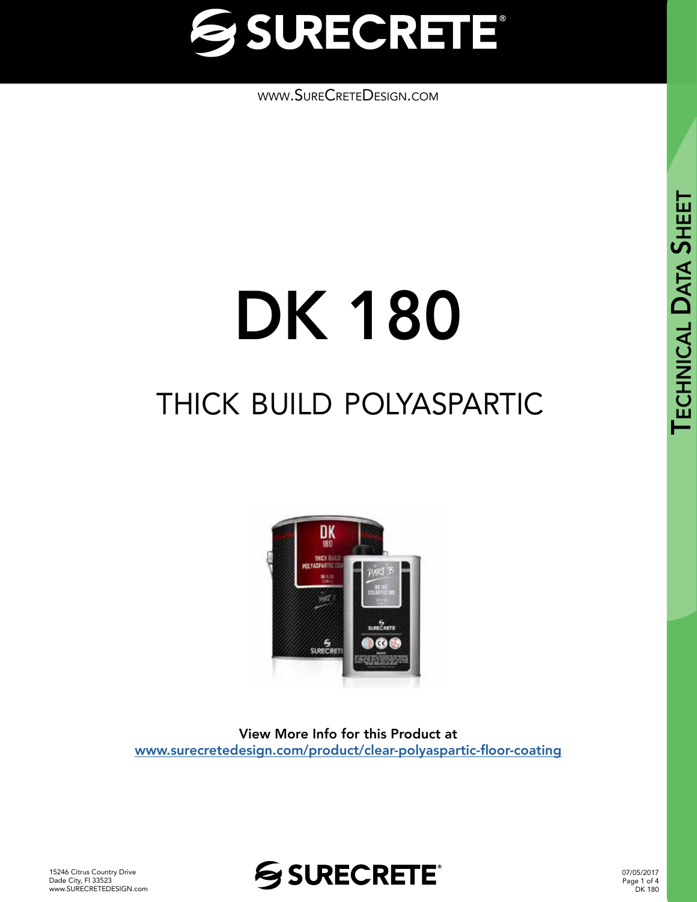

[www.SureCreteDesign.com](http://www.surecretedesign.com)

# thick build polyaspartic DK 180



View More Info for this Product at [www.surecretedesign.com/product/clear-polyaspartic-floor-coating](https://www.surecretedesign.com/product/clear-polyaspartic-floor-coating/)



07/05/2017 Page 1 of 4 DK 180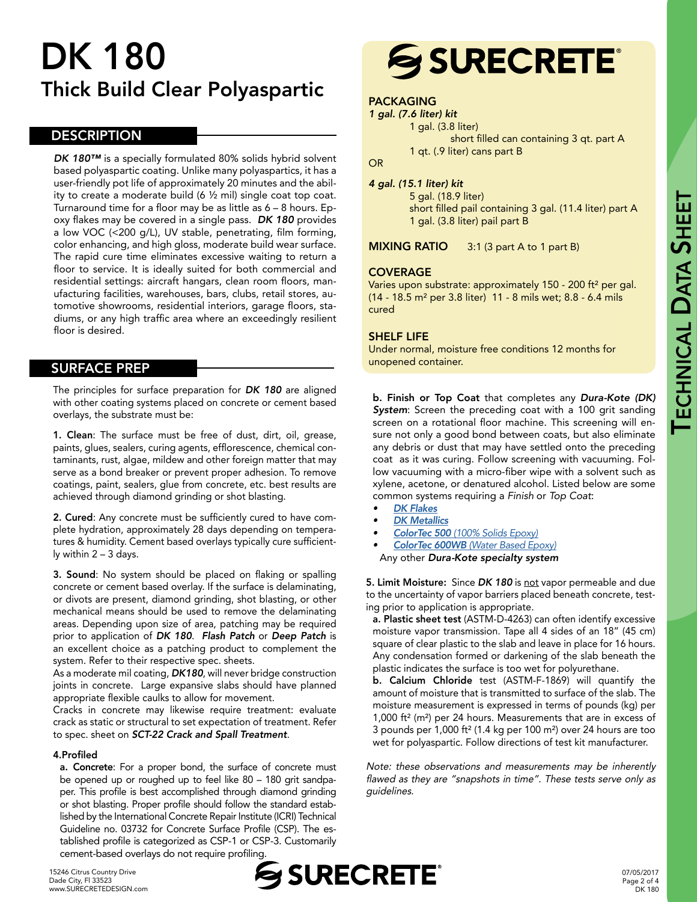### DK 180 Thick Build Clear Polyaspartic

#### **DESCRIPTION**

*DK 180™* is a specially formulated 80% solids hybrid solvent based polyaspartic coating. Unlike many polyaspartics, it has a user-friendly pot life of approximately 20 minutes and the ability to create a moderate build (6 ½ mil) single coat top coat. Turnaround time for a floor may be as little as 6 – 8 hours. Epoxy flakes may be covered in a single pass. *DK 180* provides a low VOC (<200 g/L), UV stable, penetrating, film forming, color enhancing, and high gloss, moderate build wear surface. The rapid cure time eliminates excessive waiting to return a floor to service. It is ideally suited for both commercial and residential settings: aircraft hangars, clean room floors, manufacturing facilities, warehouses, bars, clubs, retail stores, automotive showrooms, residential interiors, garage floors, stadiums, or any high traffic area where an exceedingly resilient floor is desired.

#### SURFACE PREP

The principles for surface preparation for *DK 180* are aligned with other coating systems placed on concrete or cement based overlays, the substrate must be:

1. Clean: The surface must be free of dust, dirt, oil, grease, paints, glues, sealers, curing agents, efflorescence, chemical contaminants, rust, algae, mildew and other foreign matter that may serve as a bond breaker or prevent proper adhesion. To remove coatings, paint, sealers, glue from concrete, etc. best results are achieved through diamond grinding or shot blasting.

2. Cured: Any concrete must be sufficiently cured to have complete hydration, approximately 28 days depending on temperatures & humidity. Cement based overlays typically cure sufficiently within 2 – 3 days.

3. Sound: No system should be placed on flaking or spalling concrete or cement based overlay. If the surface is delaminating, or divots are present, diamond grinding, shot blasting, or other mechanical means should be used to remove the delaminating areas. Depending upon size of area, patching may be required prior to application of *DK 180*. *Flash Patch* or *Deep Patch* is an excellent choice as a patching product to complement the system. Refer to their respective spec. sheets.

As a moderate mil coating, *DK180*, will never bridge construction joints in concrete. Large expansive slabs should have planned appropriate flexible caulks to allow for movement.

Cracks in concrete may likewise require treatment: evaluate crack as static or structural to set expectation of treatment. Refer to spec. sheet on *SCT-22 Crack and Spall Treatment*.

#### 4.Profiled

a. Concrete: For a proper bond, the surface of concrete must be opened up or roughed up to feel like 80 – 180 grit sandpaper. This profile is best accomplished through diamond grinding or shot blasting. Proper profile should follow the standard established by the International Concrete Repair Institute (ICRI) Technical Guideline no. 03732 for Concrete Surface Profile (CSP). The established profile is categorized as CSP-1 or CSP-3. Customarily cement-based overlays do not require profiling.

## **SSURECRETE®**

#### PACKAGING

*1 gal. (7.6 liter) kit*  1 gal. (3.8 liter) short filled can containing 3 qt. part A

1 qt. (.9 liter) cans part B

OR

#### *4 gal. (15.1 liter) kit*

5 gal. (18.9 liter) short filled pail containing 3 gal. (11.4 liter) part A 1 gal. (3.8 liter) pail part B

MIXING RATIO 3:1 (3 part A to 1 part B)

#### **COVERAGE**

Varies upon substrate: approximately 150 - 200 ft² per gal. (14 - 18.5 m² per 3.8 liter) 11 - 8 mils wet; 8.8 - 6.4 mils cured

#### SHELF LIFE

Under normal, moisture free conditions 12 months for unopened container.

b. Finish or Top Coat that completes any *Dura-Kote (DK) System*: Screen the preceding coat with a 100 grit sanding screen on a rotational floor machine. This screening will ensure not only a good bond between coats, but also eliminate any debris or dust that may have settled onto the preceding coat as it was curing. Follow screening with vacuuming. Follow vacuuming with a micro-fiber wipe with a solvent such as xylene, acetone, or denatured alcohol. Listed below are some common systems requiring a *Finish* or *Top Coat*:

- *• [DK Flakes](https://www.surecretedesign.com/product/floor-flake-chips/)*
- *• [DK Metallics](https://www.surecretedesign.com/epoxy-metallic-system/)*
- *• ColorTec 500 [\(100% Solids Epoxy\)](https://www.surecretedesign.com/product/colored-floor-epoxy-100/)*
- *• ColorTec 600WB [\(Water Based Epoxy\)](https://www.surecretedesign.com/product/colored-floor-epoxy-wb/)* Any other *Dura-Kote specialty system*

5. Limit Moisture: Since *DK 180* is not vapor permeable and due to the uncertainty of vapor barriers placed beneath concrete, testing prior to application is appropriate.

a. Plastic sheet test (ASTM-D-4263) can often identify excessive moisture vapor transmission. Tape all 4 sides of an 18" (45 cm) square of clear plastic to the slab and leave in place for 16 hours. Any condensation formed or darkening of the slab beneath the plastic indicates the surface is too wet for polyurethane.

b. Calcium Chloride test (ASTM-F-1869) will quantify the amount of moisture that is transmitted to surface of the slab. The moisture measurement is expressed in terms of pounds (kg) per 1,000 ft² (m²) per 24 hours. Measurements that are in excess of 3 pounds per 1,000 ft² (1.4 kg per 100 m²) over 24 hours are too wet for polyaspartic. Follow directions of test kit manufacturer.

Note: these observations and measurements may be inherently flawed as they are "snapshots in time". These tests serve only as guidelines.

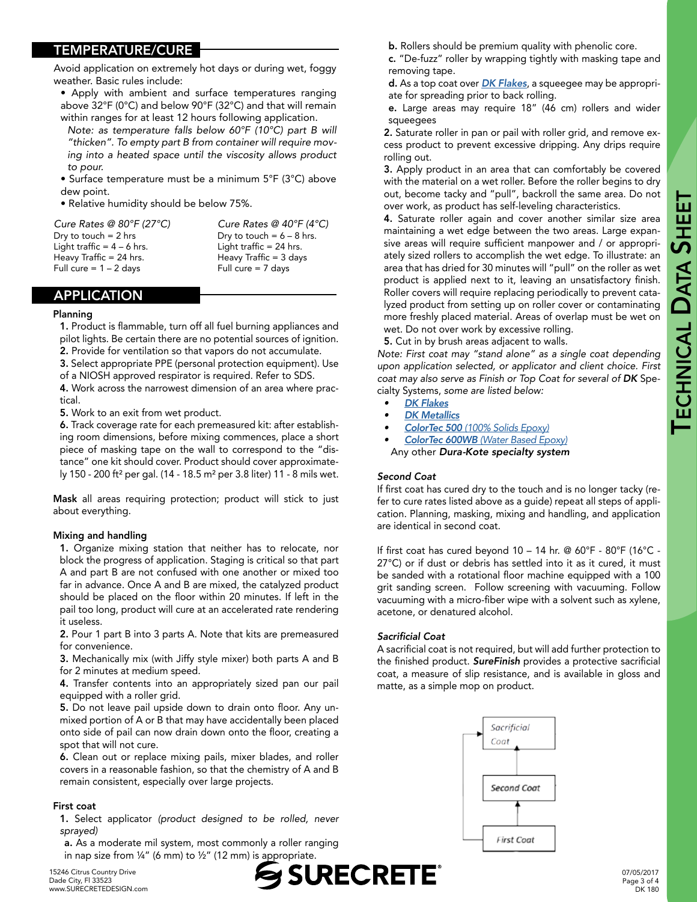#### TEMPERATURE/CURE

Avoid application on extremely hot days or during wet, foggy weather. Basic rules include:

- Apply with ambient and surface temperatures ranging above 32°F (0°C) and below 90°F (32°C) and that will remain within ranges for at least 12 hours following application.
- *Note: as temperature falls below 60°F (10°C) part B will "thicken". To empty part B from container will require moving into a heated space until the viscosity allows product to pour.*
- Surface temperature must be a minimum 5°F (3°C) above dew point.
- Relative humidity should be below 75%.

*Cure Rates @ 80°F (27°C) Cure Rates @ 40°F (4°C)* Dry to touch =  $2 \text{ hrs}$  Dry to touch =  $6 - 8 \text{ hrs}$ . Light traffic  $= 4 - 6$  hrs. Light traffic  $= 24$  hrs. Heavy Traffic = 24 hrs. Heavy Traffic = 3 days Full cure =  $1 - 2$  days

#### APPLICATION

#### Planning

1. Product is flammable, turn off all fuel burning appliances and pilot lights. Be certain there are no potential sources of ignition. 2. Provide for ventilation so that vapors do not accumulate.

- 3. Select appropriate PPE (personal protection equipment). Use
- of a NIOSH approved respirator is required. Refer to SDS.

4. Work across the narrowest dimension of an area where practical.

5. Work to an exit from wet product.

6. Track coverage rate for each premeasured kit: after establishing room dimensions, before mixing commences, place a short piece of masking tape on the wall to correspond to the "distance" one kit should cover. Product should cover approximately 150 - 200 ft² per gal. (14 - 18.5 m² per 3.8 liter) 11 - 8 mils wet.

Mask all areas requiring protection; product will stick to just about everything.

#### Mixing and handling

1. Organize mixing station that neither has to relocate, nor block the progress of application. Staging is critical so that part A and part B are not confused with one another or mixed too far in advance. Once A and B are mixed, the catalyzed product should be placed on the floor within 20 minutes. If left in the pail too long, product will cure at an accelerated rate rendering it useless.

2. Pour 1 part B into 3 parts A. Note that kits are premeasured for convenience.

3. Mechanically mix (with Jiffy style mixer) both parts A and B for 2 minutes at medium speed.

4. Transfer contents into an appropriately sized pan our pail equipped with a roller grid.

5. Do not leave pail upside down to drain onto floor. Any unmixed portion of A or B that may have accidentally been placed onto side of pail can now drain down onto the floor, creating a spot that will not cure.

6. Clean out or replace mixing pails, mixer blades, and roller covers in a reasonable fashion, so that the chemistry of A and B remain consistent, especially over large projects.

#### First coat

1. Select applicator *(product designed to be rolled, never sprayed)*

a. As a moderate mil system, most commonly a roller ranging in nap size from  $\frac{1}{4}$ " (6 mm) to  $\frac{1}{2}$ " (12 mm) is appropriate.

15246 Citrus Country Drive Dade City, Fl 33523 [www.SURECRETEDESIGN.com](http://www.surecretedesign.com)



b. Rollers should be premium quality with phenolic core.

c. "De-fuzz" roller by wrapping tightly with masking tape and removing tape.

d. As a top coat over *[DK Flakes](https://www.surecretedesign.com/product/floor-flake-chips/)*, a squeegee may be appropriate for spreading prior to back rolling.

e. Large areas may require 18" (46 cm) rollers and wider squeegees

2. Saturate roller in pan or pail with roller grid, and remove excess product to prevent excessive dripping. Any drips require rolling out.

3. Apply product in an area that can comfortably be covered with the material on a wet roller. Before the roller begins to dry out, become tacky and "pull", backroll the same area. Do not over work, as product has self-leveling characteristics.

4. Saturate roller again and cover another similar size area maintaining a wet edge between the two areas. Large expansive areas will require sufficient manpower and / or appropriately sized rollers to accomplish the wet edge. To illustrate: an area that has dried for 30 minutes will "pull" on the roller as wet product is applied next to it, leaving an unsatisfactory finish. Roller covers will require replacing periodically to prevent catalyzed product from setting up on roller cover or contaminating more freshly placed material. Areas of overlap must be wet on wet. Do not over work by excessive rolling.

5. Cut in by brush areas adjacent to walls.

*Note: First coat may "stand alone" as a single coat depending upon application selected, or applicator and client choice. First coat may also serve as Finish or Top Coat for several of DK* Specialty Systems, *some are listed below:* 

- *• [DK Flakes](https://www.surecretedesign.com/product/floor-flake-chips/)*
- *• [DK Metallics](https://www.surecretedesign.com/epoxy-metallic-system/)*
- *• ColorTec 500 [\(100% Solids Epoxy\)](https://www.surecretedesign.com/product/colored-floor-epoxy-100/)*
- *• ColorTec 600WB [\(Water Based Epoxy\)](https://www.surecretedesign.com/product/colored-floor-epoxy-wb/)*
- Any other *Dura-Kote specialty system*

#### *Second Coat*

If first coat has cured dry to the touch and is no longer tacky (refer to cure rates listed above as a guide) repeat all steps of application. Planning, masking, mixing and handling, and application are identical in second coat.

If first coat has cured beyond 10 – 14 hr. @ 60°F - 80°F (16°C - 27°C) or if dust or debris has settled into it as it cured, it must be sanded with a rotational floor machine equipped with a 100 grit sanding screen. Follow screening with vacuuming. Follow vacuuming with a micro-fiber wipe with a solvent such as xylene, acetone, or denatured alcohol.

#### Sacrificial Coat

A sacrificial coat is not required, but will add further protection to the finished product. *SureFinish* provides a protective sacrificial coat, a measure of slip resistance, and is available in gloss and matte, as a simple mop on product.